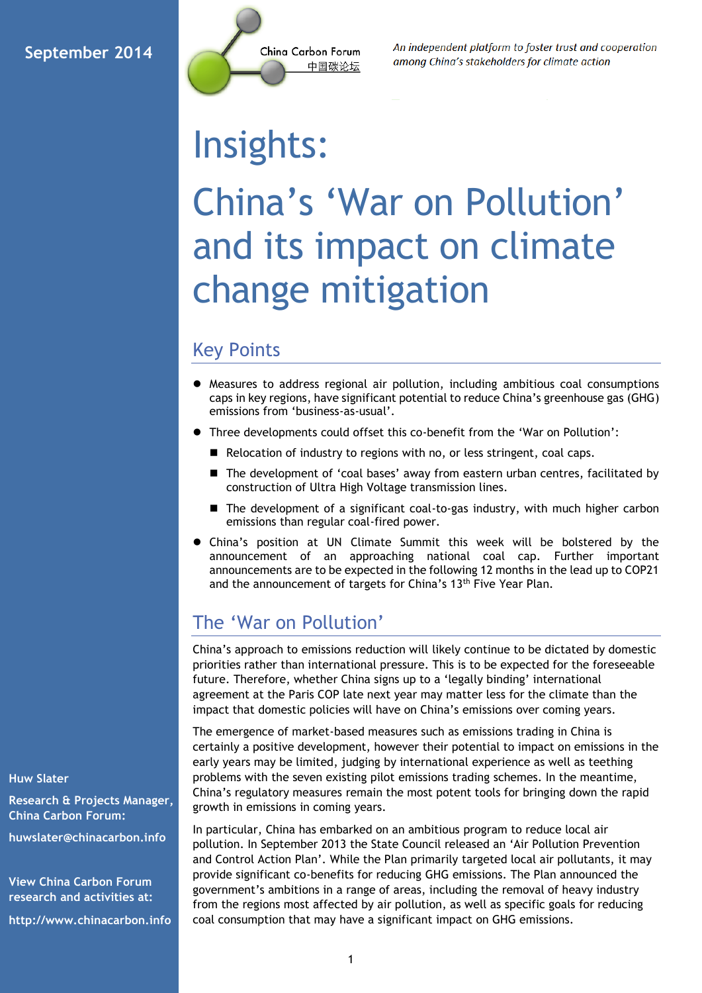

An independent platform to foster trust and cooperation among China's stakeholders for climate action

# Insights:

## China's 'War on Pollution' and its impact on climate change mitigation

### Key Points

- Measures to address regional air pollution, including ambitious coal consumptions caps in key regions, have significant potential to reduce China's greenhouse gas (GHG) emissions from 'business-as-usual'.
- Three developments could offset this co-benefit from the 'War on Pollution':
	- Relocation of industry to regions with no, or less stringent, coal caps.
	- The development of 'coal bases' away from eastern urban centres, facilitated by construction of Ultra High Voltage transmission lines.
	- The development of a significant coal-to-gas industry, with much higher carbon emissions than regular coal-fired power.
- China's position at UN Climate Summit this week will be bolstered by the announcement of an approaching national coal cap. Further important announcements are to be expected in the following 12 months in the lead up to COP21 and the announcement of targets for China's 13<sup>th</sup> Five Year Plan.

## The 'War on Pollution'

China's approach to emissions reduction will likely continue to be dictated by domestic priorities rather than international pressure. This is to be expected for the foreseeable future. Therefore, whether China signs up to a 'legally binding' international agreement at the Paris COP late next year may matter less for the climate than the impact that domestic policies will have on China's emissions over coming years.

The emergence of market-based measures such as emissions trading in China is certainly a positive development, however their potential to impact on emissions in the early years may be limited, judging by international experience as well as teething problems with the seven existing pilot emissions trading schemes. In the meantime, China's regulatory measures remain the most potent tools for bringing down the rapid growth in emissions in coming years.

In particular, China has embarked on an ambitious program to reduce local air pollution. In September 2013 the State Council released an 'Air Pollution Prevention and Control Action Plan'. While the Plan primarily targeted local air pollutants, it may provide significant co-benefits for reducing GHG emissions. The Plan announced the government's ambitions in a range of areas, including the removal of heavy industry from the regions most affected by air pollution, as well as specific goals for reducing coal consumption that may have a significant impact on GHG emissions.

**Huw Slater**

**Research & Projects Manager, China Carbon Forum:**

**[huwslater@chinacarbon.info](mailto:huwslater@chinacarbon.info)**

**View China Carbon Forum research and activities at:**

**http://www.chinacarbon.info**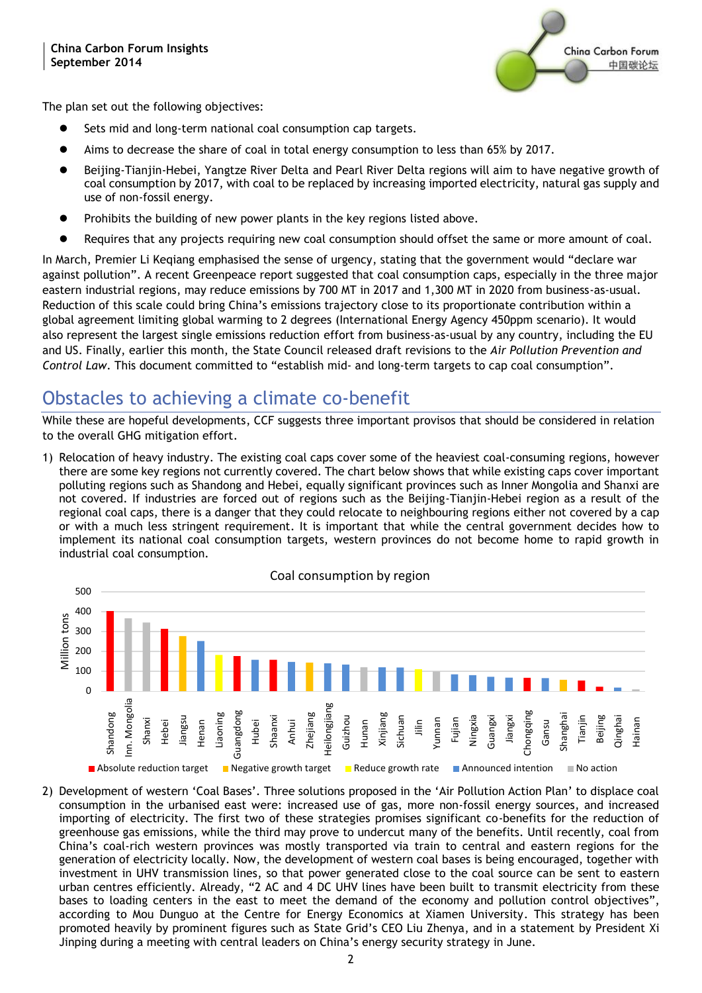

The plan set out the following objectives:

- Sets mid and long-term national coal consumption cap targets.
- Aims to decrease the share of coal in total energy consumption to less than 65% by 2017.
- Beijing-Tianjin-Hebei, Yangtze River Delta and Pearl River Delta regions will aim to have negative growth of coal consumption by 2017, with coal to be replaced by increasing imported electricity, natural gas supply and use of non-fossil energy.
- Prohibits the building of new power plants in the key regions listed above.
- Requires that any projects requiring new coal consumption should offset the same or more amount of coal.

In March, Premier Li Keqiang emphasised the sense of urgency, stating that the government would "declare war against pollution". A recent Greenpeace report suggested that coal consumption caps, especially in the three major eastern industrial regions, may reduce emissions by 700 MT in 2017 and 1,300 MT in 2020 from business-as-usual. Reduction of this scale could bring China's emissions trajectory close to its proportionate contribution within a global agreement limiting global warming to 2 degrees (International Energy Agency 450ppm scenario). It would also represent the largest single emissions reduction effort from business-as-usual by any country, including the EU and US. Finally, earlier this month, the State Council released draft revisions to the *Air Pollution Prevention and Control Law*. This document committed to "establish mid- and long-term targets to cap coal consumption".

## Obstacles to achieving a climate co-benefit

While these are hopeful developments, CCF suggests three important provisos that should be considered in relation to the overall GHG mitigation effort.

1) Relocation of heavy industry. The existing coal caps cover some of the heaviest coal-consuming regions, however there are some key regions not currently covered. The chart below shows that while existing caps cover important polluting regions such as Shandong and Hebei, equally significant provinces such as Inner Mongolia and Shanxi are not covered. If industries are forced out of regions such as the Beijing-Tianjin-Hebei region as a result of the regional coal caps, there is a danger that they could relocate to neighbouring regions either not covered by a cap or with a much less stringent requirement. It is important that while the central government decides how to implement its national coal consumption targets, western provinces do not become home to rapid growth in industrial coal consumption.



2) Development of western 'Coal Bases'. Three solutions proposed in the 'Air Pollution Action Plan' to displace coal consumption in the urbanised east were: increased use of gas, more non-fossil energy sources, and increased importing of electricity. The first two of these strategies promises significant co-benefits for the reduction of greenhouse gas emissions, while the third may prove to undercut many of the benefits. Until recently, coal from China's coal-rich western provinces was mostly transported via train to central and eastern regions for the generation of electricity locally. Now, the development of western coal bases is being encouraged, together with investment in UHV transmission lines, so that power generated close to the coal source can be sent to eastern urban centres efficiently. Already, "2 AC and 4 DC UHV lines have been built to transmit electricity from these bases to loading centers in the east to meet the demand of the economy and pollution control objectives", according to Mou Dunguo at the Centre for Energy Economics at Xiamen University. This strategy has been promoted heavily by prominent figures such as State Grid's CEO Liu Zhenya, and in a statement by President Xi Jinping during a meeting with central leaders on China's energy security strategy in June.